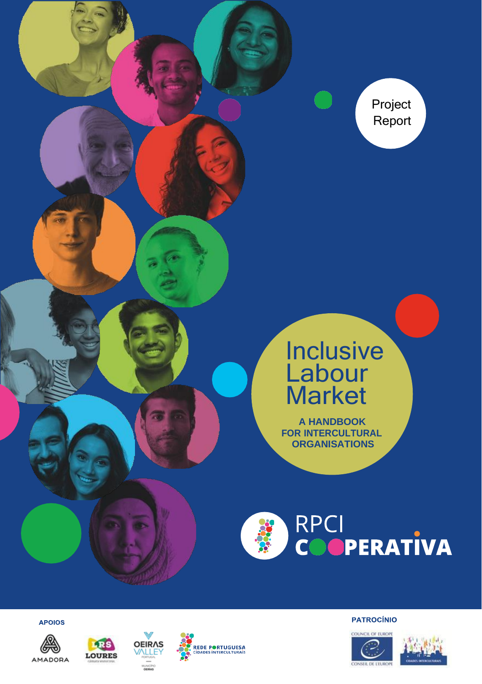Project Report

# **Inclusive** Labour Market

**A HANDBOOK FOR INTERCULTURAL ORGANISATIONS**



**APOIOS** 









**PATROCÍNIO** 



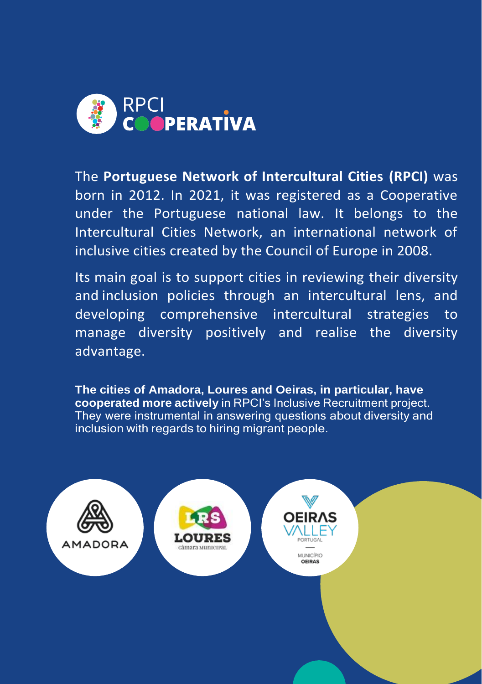

The **Portuguese Network of Intercultural Cities (RPCI)** was born in 2012. In 2021, it was registered as a Cooperative under the Portuguese national law. It belongs to the Intercultural Cities Network, an international network of inclusive cities created by the Council of Europe in 2008.

Its main goal is to support cities in reviewing their diversity and inclusion policies through an intercultural lens, and developing comprehensive intercultural strategies to manage diversity positively and realise the diversity advantage.

**The cities of Amadora, Loures and Oeiras, in particular, have cooperated more actively** in RPCI's Inclusive Recruitment project. They were instrumental in answering questions about diversity and inclusion with regards to hiring migrant people.

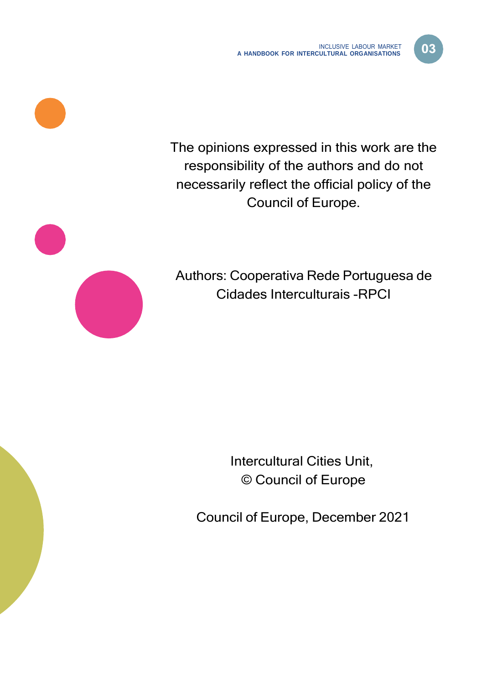D3



The opinions expressed in this work are the responsibility of the authors and do not necessarily reflect the official policy of the Council of Europe.

Authors: Cooperativa Rede Portuguesa de Cidades Interculturais -RPCI

> Intercultural Cities Unit, © Council of Europe

Council of Europe, December 2021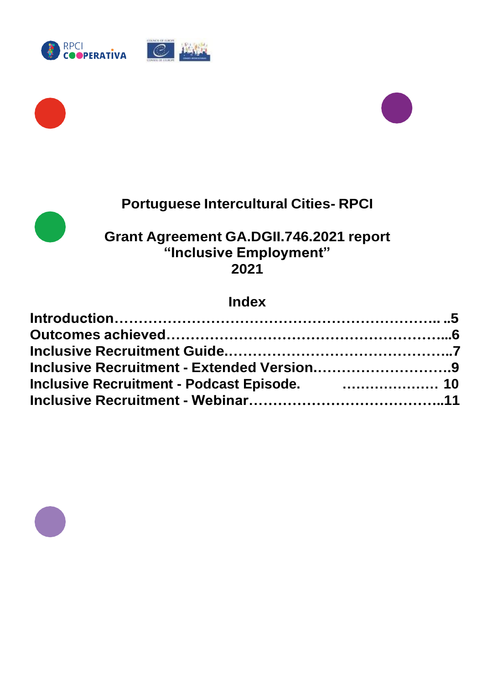







#### **Portuguese Intercultural Cities- RPCI**

#### **Grant Agreement GA.DGII.746.2021 report "Inclusive Employment" 2021**

#### **Index**

| Inclusive Recruitment - Podcast Episode. <b>Construent and the Inclusive Recruitment - Podcast Episode.</b> |  |
|-------------------------------------------------------------------------------------------------------------|--|
|                                                                                                             |  |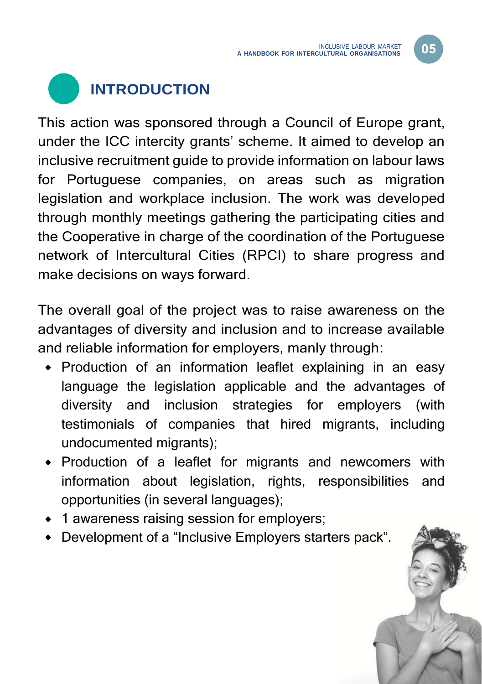05

<span id="page-4-0"></span>

This action was sponsored through a Council of Europe grant, under the ICC intercity grants' scheme. It aimed to develop an inclusive recruitment guide to provide information on labour laws for Portuguese companies, on areas such as migration legislation and workplace inclusion. The work was developed through monthly meetings gathering the participating cities and the Cooperative in charge of the coordination of the Portuguese network of Intercultural Cities (RPCI) to share progress and make decisions on ways forward.

The overall goal of the project was to raise awareness on the advantages of diversity and inclusion and to increase available and reliable information for employers, manly through:

- Production of an information leaflet explaining in an easy language the legislation applicable and the advantages of diversity and inclusion strategies for employers (with testimonials of companies that hired migrants, including undocumented migrants);
- Production of a leaflet for migrants and newcomers with information about legislation, rights, responsibilities and opportunities (in several languages);
- 1 awareness raising session for employers;
- Development of a "Inclusive Employers starters pack".

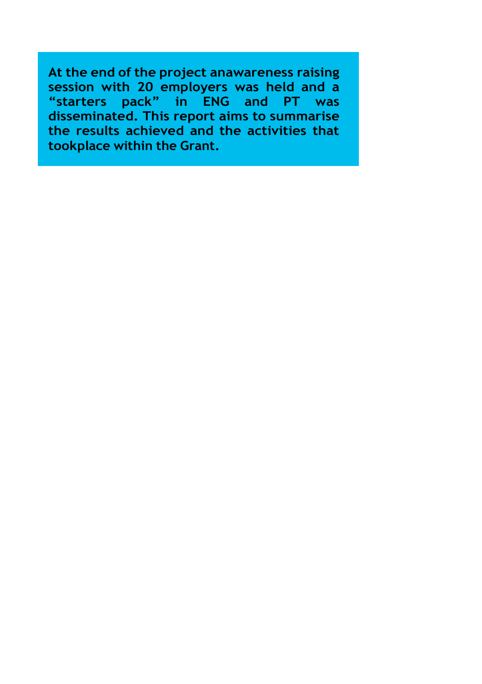**At the end of the project anawareness raising session with 20 employers was held and a "starters pack" in ENG and PT was disseminated. This report aims to summarise the results achieved and the activities that tookplace within the Grant.**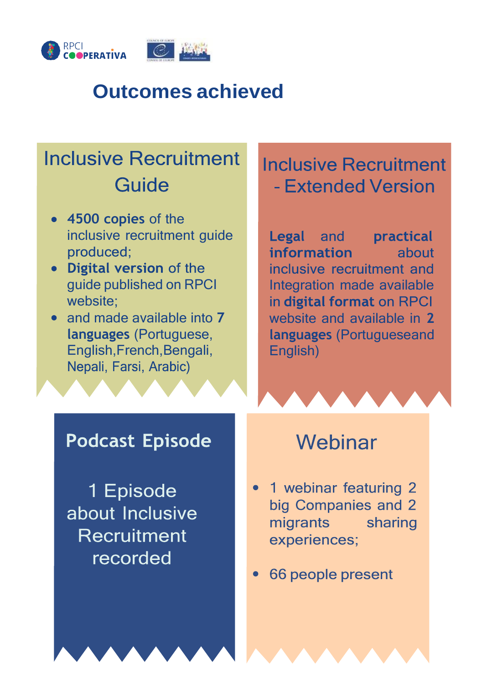<span id="page-6-0"></span>



# **Outcomes achieved**

# **Inclusive Recruitment** Guide

- **4500 copies** of the inclusive recruitment guide produced;
- Digital version of the guide published on RPCI website:
- and made available into **7 languages** (Portuguese, English,French,Bengali, Nepali, Farsi, Arabic)

## **Inclusive Recruitment** - Extended Version

**Legal** and practical information about inclusive recruitment and Integration made available in digital format on RPCI website and available in **2 languages** (Portugueseand English)

#### **Podcast Episode**

1 Episode about Inclusive Recruitment recorded

## Webinar

- 1 webinar featuring 2 big Companies and 2 migrants sharing experiences;
- 66 people present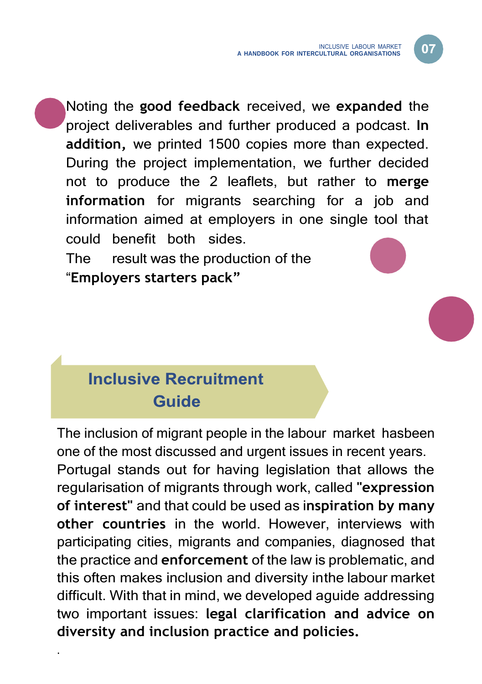Noting the **good feedback** received, we **expanded** the project deliverables and further produced a podcast. **In addition,** we printed 1500 copies more than expected. During the project implementation, we further decided not to produce the 2 leaflets, but rather to **merge information** for migrants searching for a job and information aimed at employers in one single tool that could benefit both sides.

The result was the production of the "**Employers starters pack"**

## **Inclusive Recruitment** Guide

.

The inclusion of migrant people in the labour market hasbeen one of the most discussed and urgent issues in recent years. Portugal stands out for having legislation that allows the regularisation of migrants through work, called **"expression of interest"** and that could be used as i**nspiration by many other countries** in the world. However, interviews with participating cities, migrants and companies, diagnosed that the practice and **enforcement** of the law is problematic, and this often makes inclusion and diversity inthe labour market difficult. With that in mind, we developed aguide addressing two important issues: **legal clarification and advice on diversity and inclusion practice and policies.**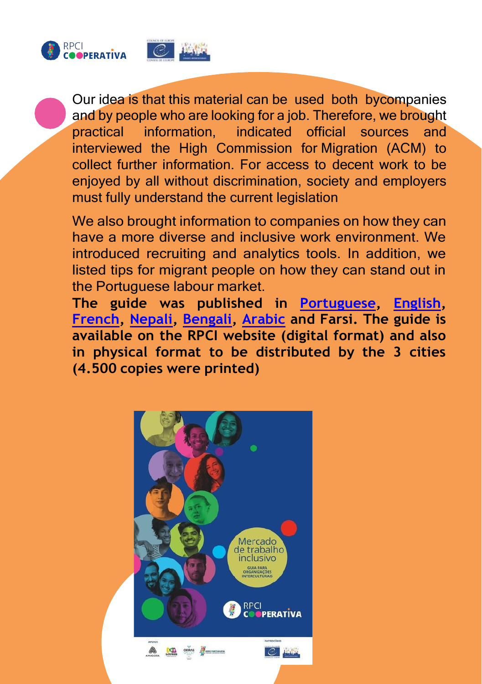



Our idea is that this material can be used both bycompanies and by people who are looking for a job. Therefore, we brought practical information, indicated official sources and interviewed the High Commission for Migration (ACM) to collect further information. For access to decent work to be enjoyed by all without discrimination, society and employers must fully understand the current legislation

We also brought information to companies on how they can have a more diverse and inclusive work environment. We introduced recruiting and analytics tools. In addition, we listed tips for migrant people on how they can stand out in the Portuguese labour market.

**The guide was published in [Portuguese,](https://wwwcidadesinterculturais.files.wordpress.com/2021/11/rpci_folheto_17112021.pdf) [English,](https://wwwcidadesinterculturais.files.wordpress.com/2021/12/rpci_folheto_digital_inglecc82s.pdf) [French,](https://wwwcidadesinterculturais.files.wordpress.com/2021/12/rpci_folheto_digital_francecc82s.pdf) [Nepali,](https://wwwcidadesinterculturais.files.wordpress.com/2021/12/rpci_folheto_digital_nepali.pdf) [Bengali,](https://wwwcidadesinterculturais.files.wordpress.com/2022/01/rpci_folheto_digital_bengali.pdf) [Arabic](https://wwwcidadesinterculturais.files.wordpress.com/2022/01/rpci_folheto_digital_arabic1.pdf) and Farsi. The guide is available on the RPCI website (digital format) and also in physical format to be distributed by the 3 cities (4.500 copies were printed)**

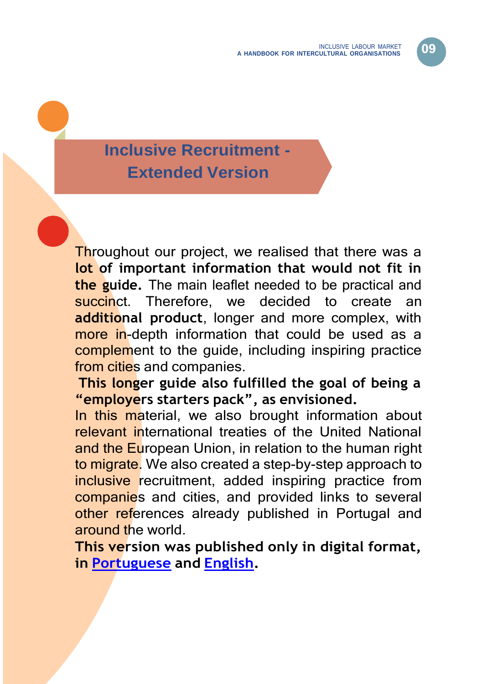## <span id="page-9-0"></span>**Inclusive Recruitment - Extended Version**

Throughout our project, we realised that there was a **lot of important information that would not fit in the guide.** The main leaflet needed to be practical and succinct. Therefore, we decided to create an **additional product**, longer and more complex, with more in-depth information that could be used as a complement to the quide, including inspiring practice from cities and companies.

**This longer guide also fulfilled the goal of being a "employers starters pack", as envisioned.**

In this material, we also brought information about relevant international treaties of the United National and the European Union, in relation to the human right to migrate. We also created a step-by-step approach to inclusive recruitment, added inspiring practice from companies and cities, and provided links to several other references already published in Portugal and around the world.

**This version was published only in digital format, in [Portuguese](https://wwwcidadesinterculturais.files.wordpress.com/2021/11/rpci_folheto_17112021.pdf) and [English.](https://wwwcidadesinterculturais.files.wordpress.com/2021/12/guia-completo_recrutamento-inclusivo_en1.pdf)**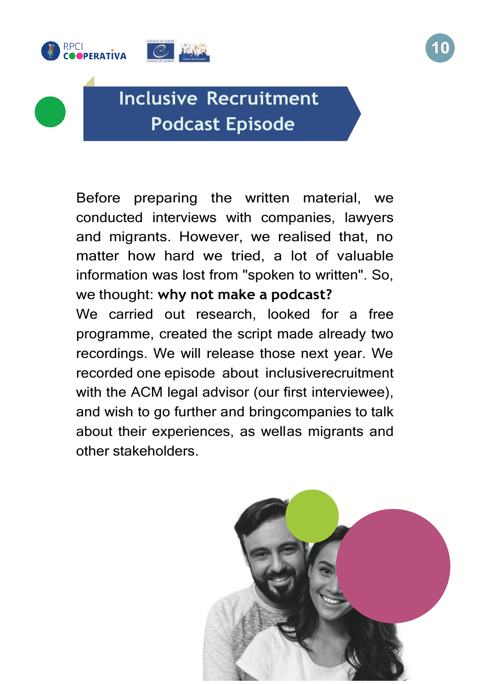



# **Inclusive Recruitment Podcast Episode**

Before preparing the written material, we conducted interviews with companies, lawyers and migrants. However, we realised that, no matter how hard we tried, a lot of valuable information was lost from "spoken to written". So, we thought: **why not make a podcast?**

We carried out research, looked for a free programme, created the script made already two recordings. We will release those next year. We recorded one episode about inclusiverecruitment with the ACM legal advisor (our first interviewee), and wish to go further and bringcompanies to talk about their experiences, as wellas migrants and other stakeholders.

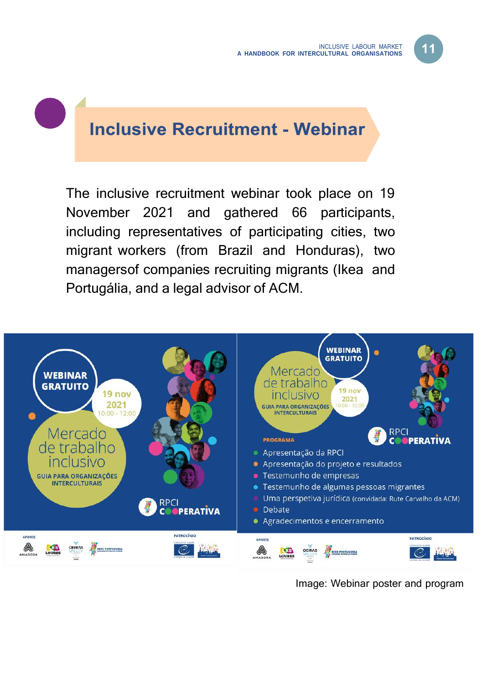### **Inclusive Recruitment - Webinar**

The inclusive recruitment webinar took place on 19 November 2021 and gathered 66 participants, including representatives of participating cities, two migrant workers (from Brazil and Honduras), two managersof companies recruiting migrants (Ikea and Portugália, and a legal advisor of ACM.



Image: Webinar poster and program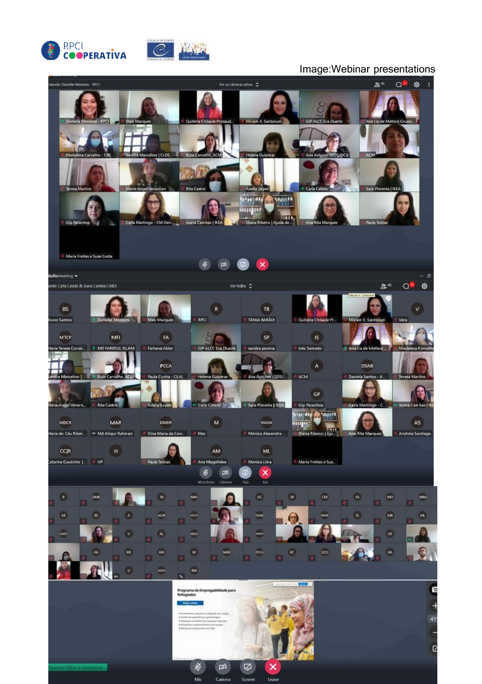



#### Image:Webinar presentations